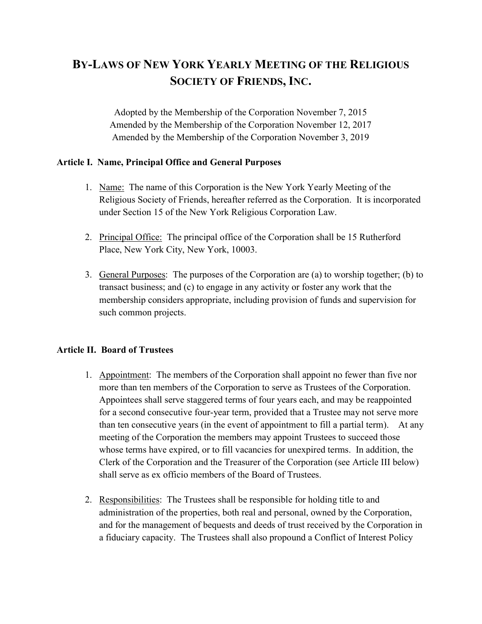# BY-LAWS OF NEW YORK YEARLY MEETING OF THE RELIGIOUS SOCIETY OF FRIENDS, INC.

Adopted by the Membership of the Corporation November 7, 2015 Amended by the Membership of the Corporation November 12, 2017 Amended by the Membership of the Corporation November 3, 2019

#### Article I. Name, Principal Office and General Purposes

- 1. Name: The name of this Corporation is the New York Yearly Meeting of the Religious Society of Friends, hereafter referred as the Corporation. It is incorporated under Section 15 of the New York Religious Corporation Law.
- 2. Principal Office: The principal office of the Corporation shall be 15 Rutherford Place, New York City, New York, 10003.
- 3. General Purposes: The purposes of the Corporation are (a) to worship together; (b) to transact business; and (c) to engage in any activity or foster any work that the membership considers appropriate, including provision of funds and supervision for such common projects.

### Article II. Board of Trustees

- 1. Appointment: The members of the Corporation shall appoint no fewer than five nor more than ten members of the Corporation to serve as Trustees of the Corporation. Appointees shall serve staggered terms of four years each, and may be reappointed for a second consecutive four-year term, provided that a Trustee may not serve more than ten consecutive years (in the event of appointment to fill a partial term). At any meeting of the Corporation the members may appoint Trustees to succeed those whose terms have expired, or to fill vacancies for unexpired terms. In addition, the Clerk of the Corporation and the Treasurer of the Corporation (see Article III below) shall serve as ex officio members of the Board of Trustees.
- 2. Responsibilities: The Trustees shall be responsible for holding title to and administration of the properties, both real and personal, owned by the Corporation, and for the management of bequests and deeds of trust received by the Corporation in a fiduciary capacity. The Trustees shall also propound a Conflict of Interest Policy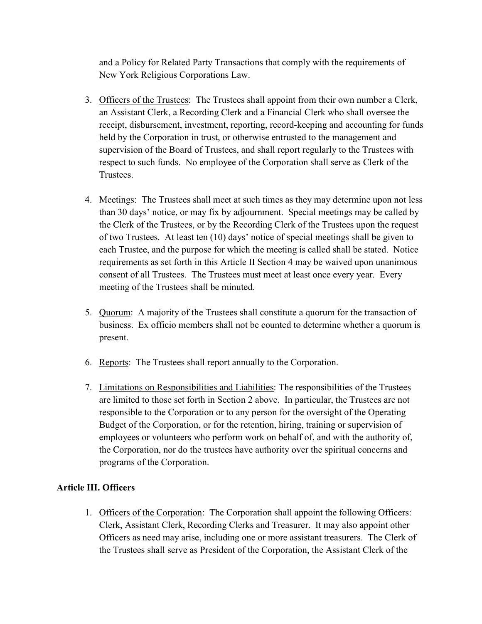and a Policy for Related Party Transactions that comply with the requirements of New York Religious Corporations Law.

- 3. Officers of the Trustees: The Trustees shall appoint from their own number a Clerk, an Assistant Clerk, a Recording Clerk and a Financial Clerk who shall oversee the receipt, disbursement, investment, reporting, record-keeping and accounting for funds held by the Corporation in trust, or otherwise entrusted to the management and supervision of the Board of Trustees, and shall report regularly to the Trustees with respect to such funds. No employee of the Corporation shall serve as Clerk of the Trustees.
- 4. Meetings: The Trustees shall meet at such times as they may determine upon not less than 30 days' notice, or may fix by adjournment. Special meetings may be called by the Clerk of the Trustees, or by the Recording Clerk of the Trustees upon the request of two Trustees. At least ten (10) days' notice of special meetings shall be given to each Trustee, and the purpose for which the meeting is called shall be stated. Notice requirements as set forth in this Article II Section 4 may be waived upon unanimous consent of all Trustees. The Trustees must meet at least once every year. Every meeting of the Trustees shall be minuted.
- 5. Quorum: A majority of the Trustees shall constitute a quorum for the transaction of business. Ex officio members shall not be counted to determine whether a quorum is present.
- 6. Reports: The Trustees shall report annually to the Corporation.
- 7. Limitations on Responsibilities and Liabilities: The responsibilities of the Trustees are limited to those set forth in Section 2 above. In particular, the Trustees are not responsible to the Corporation or to any person for the oversight of the Operating Budget of the Corporation, or for the retention, hiring, training or supervision of employees or volunteers who perform work on behalf of, and with the authority of, the Corporation, nor do the trustees have authority over the spiritual concerns and programs of the Corporation.

### Article III. Officers

1. Officers of the Corporation: The Corporation shall appoint the following Officers: Clerk, Assistant Clerk, Recording Clerks and Treasurer. It may also appoint other Officers as need may arise, including one or more assistant treasurers. The Clerk of the Trustees shall serve as President of the Corporation, the Assistant Clerk of the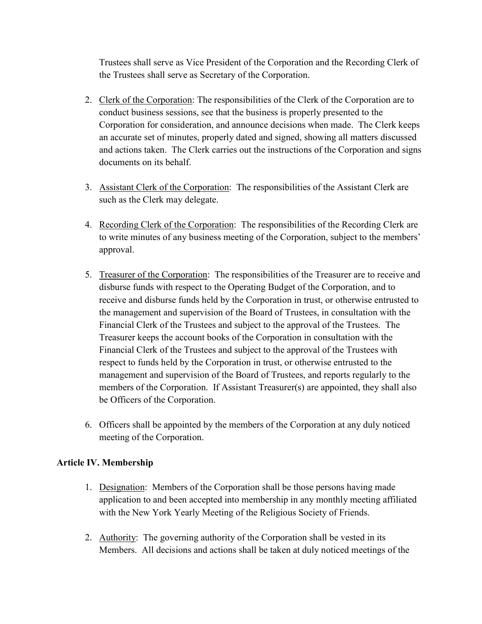Trustees shall serve as Vice President of the Corporation and the Recording Clerk of the Trustees shall serve as Secretary of the Corporation.

- 2. Clerk of the Corporation: The responsibilities of the Clerk of the Corporation are to conduct business sessions, see that the business is properly presented to the Corporation for consideration, and announce decisions when made. The Clerk keeps an accurate set of minutes, properly dated and signed, showing all matters discussed and actions taken. The Clerk carries out the instructions of the Corporation and signs documents on its behalf.
- 3. Assistant Clerk of the Corporation: The responsibilities of the Assistant Clerk are such as the Clerk may delegate.
- 4. Recording Clerk of the Corporation: The responsibilities of the Recording Clerk are to write minutes of any business meeting of the Corporation, subject to the members' approval.
- 5. Treasurer of the Corporation: The responsibilities of the Treasurer are to receive and disburse funds with respect to the Operating Budget of the Corporation, and to receive and disburse funds held by the Corporation in trust, or otherwise entrusted to the management and supervision of the Board of Trustees, in consultation with the Financial Clerk of the Trustees and subject to the approval of the Trustees. The Treasurer keeps the account books of the Corporation in consultation with the Financial Clerk of the Trustees and subject to the approval of the Trustees with respect to funds held by the Corporation in trust, or otherwise entrusted to the management and supervision of the Board of Trustees, and reports regularly to the members of the Corporation. If Assistant Treasurer(s) are appointed, they shall also be Officers of the Corporation.
- 6. Officers shall be appointed by the members of the Corporation at any duly noticed meeting of the Corporation.

### Article IV. Membership

- 1. Designation: Members of the Corporation shall be those persons having made application to and been accepted into membership in any monthly meeting affiliated with the New York Yearly Meeting of the Religious Society of Friends.
- 2. Authority: The governing authority of the Corporation shall be vested in its Members. All decisions and actions shall be taken at duly noticed meetings of the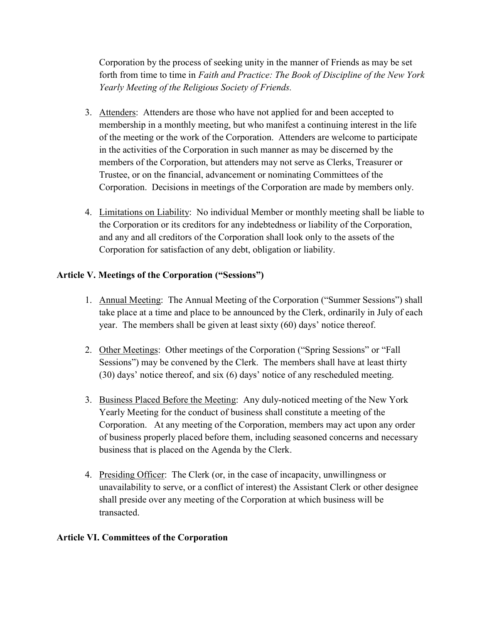Corporation by the process of seeking unity in the manner of Friends as may be set forth from time to time in Faith and Practice: The Book of Discipline of the New York Yearly Meeting of the Religious Society of Friends.

- 3. Attenders: Attenders are those who have not applied for and been accepted to membership in a monthly meeting, but who manifest a continuing interest in the life of the meeting or the work of the Corporation. Attenders are welcome to participate in the activities of the Corporation in such manner as may be discerned by the members of the Corporation, but attenders may not serve as Clerks, Treasurer or Trustee, or on the financial, advancement or nominating Committees of the Corporation. Decisions in meetings of the Corporation are made by members only.
- 4. Limitations on Liability: No individual Member or monthly meeting shall be liable to the Corporation or its creditors for any indebtedness or liability of the Corporation, and any and all creditors of the Corporation shall look only to the assets of the Corporation for satisfaction of any debt, obligation or liability.

## Article V. Meetings of the Corporation ("Sessions")

- 1. Annual Meeting: The Annual Meeting of the Corporation ("Summer Sessions") shall take place at a time and place to be announced by the Clerk, ordinarily in July of each year. The members shall be given at least sixty (60) days' notice thereof.
- 2. Other Meetings: Other meetings of the Corporation ("Spring Sessions" or "Fall Sessions") may be convened by the Clerk. The members shall have at least thirty (30) days' notice thereof, and six (6) days' notice of any rescheduled meeting.
- 3. Business Placed Before the Meeting: Any duly-noticed meeting of the New York Yearly Meeting for the conduct of business shall constitute a meeting of the Corporation. At any meeting of the Corporation, members may act upon any order of business properly placed before them, including seasoned concerns and necessary business that is placed on the Agenda by the Clerk.
- 4. Presiding Officer: The Clerk (or, in the case of incapacity, unwillingness or unavailability to serve, or a conflict of interest) the Assistant Clerk or other designee shall preside over any meeting of the Corporation at which business will be transacted.

### Article VI. Committees of the Corporation